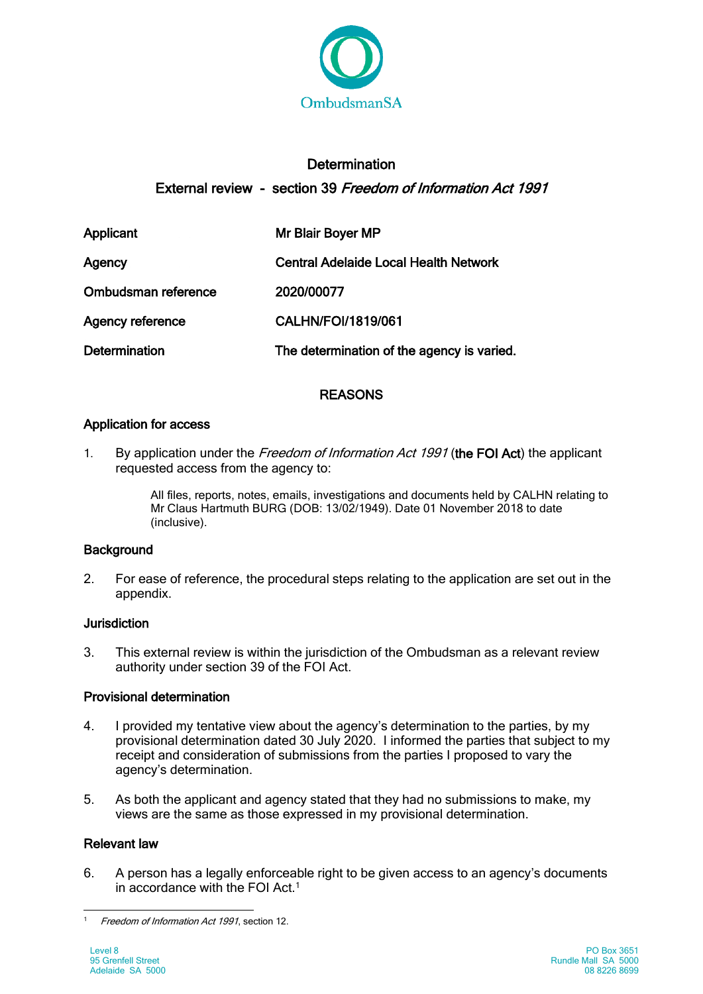

# **Determination** External review - section 39 Freedom of Information Act 1991

| Applicant               | Mr Blair Boyer MP                            |
|-------------------------|----------------------------------------------|
| Agency                  | <b>Central Adelaide Local Health Network</b> |
| Ombudsman reference     | 2020/00077                                   |
| <b>Agency reference</b> | CALHN/FOI/1819/061                           |
| <b>Determination</b>    | The determination of the agency is varied.   |

# **REASONS**

## Application for access

1. By application under the Freedom of Information Act 1991 (the FOI Act) the applicant requested access from the agency to:

> All files, reports, notes, emails, investigations and documents held by CALHN relating to Mr Claus Hartmuth BURG (DOB: 13/02/1949). Date 01 November 2018 to date (inclusive).

## **Background**

2. For ease of reference, the procedural steps relating to the application are set out in the appendix.

## **Jurisdiction**

3. This external review is within the jurisdiction of the Ombudsman as a relevant review authority under section 39 of the FOI Act.

# Provisional determination

- 4. I provided my tentative view about the agency's determination to the parties, by my provisional determination dated 30 July 2020. I informed the parties that subject to my receipt and consideration of submissions from the parties I proposed to vary the agency's determination.
- 5. As both the applicant and agency stated that they had no submissions to make, my views are the same as those expressed in my provisional determination.

## Relevant law

6. A person has a legally enforceable right to be given access to an agency's documents in accordance with the FOI Act.1

<sup>-</sup>Freedom of Information Act 1991, section 12.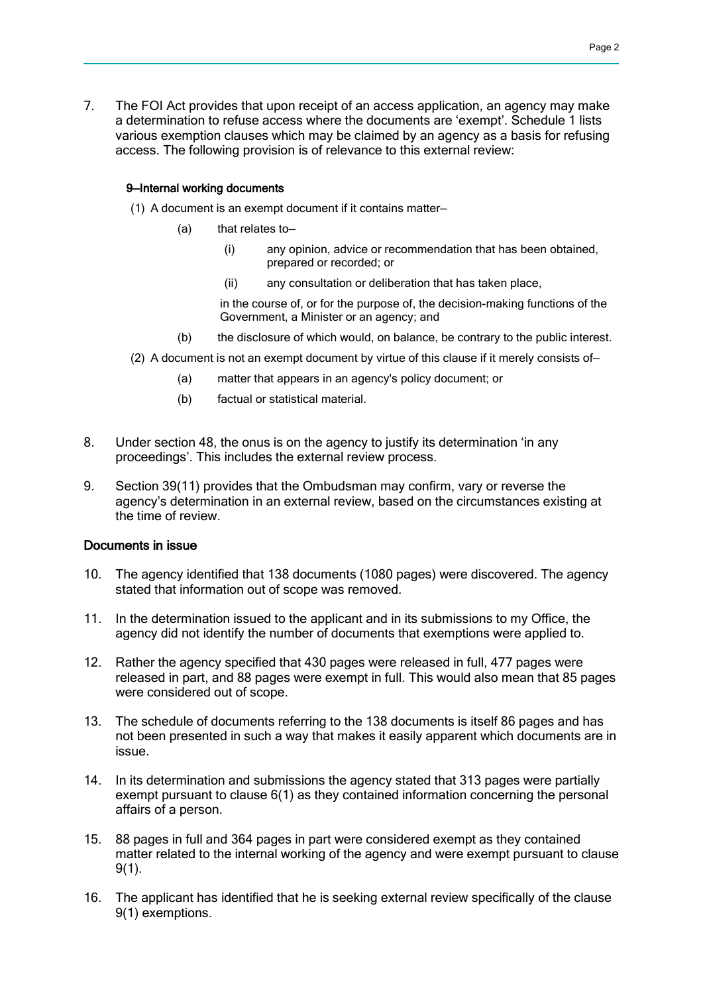7. The FOI Act provides that upon receipt of an access application, an agency may make a determination to refuse access where the documents are 'exempt'. Schedule 1 lists various exemption clauses which may be claimed by an agency as a basis for refusing access. The following provision is of relevance to this external review:

#### 9—Internal working documents

- (1) A document is an exempt document if it contains matter—
	- (a) that relates to—
		- (i) any opinion, advice or recommendation that has been obtained, prepared or recorded; or
		- (ii) any consultation or deliberation that has taken place,

in the course of, or for the purpose of, the decision-making functions of the Government, a Minister or an agency; and

- (b) the disclosure of which would, on balance, be contrary to the public interest.
- (2) A document is not an exempt document by virtue of this clause if it merely consists of—
	- (a) matter that appears in an agency's policy document; or
	- (b) factual or statistical material.
- 8. Under section 48, the onus is on the agency to justify its determination 'in any proceedings'. This includes the external review process.
- 9. Section 39(11) provides that the Ombudsman may confirm, vary or reverse the agency's determination in an external review, based on the circumstances existing at the time of review.

#### Documents in issue

- 10. The agency identified that 138 documents (1080 pages) were discovered. The agency stated that information out of scope was removed.
- 11. In the determination issued to the applicant and in its submissions to my Office, the agency did not identify the number of documents that exemptions were applied to.
- 12. Rather the agency specified that 430 pages were released in full, 477 pages were released in part, and 88 pages were exempt in full. This would also mean that 85 pages were considered out of scope.
- 13. The schedule of documents referring to the 138 documents is itself 86 pages and has not been presented in such a way that makes it easily apparent which documents are in issue.
- 14. In its determination and submissions the agency stated that 313 pages were partially exempt pursuant to clause 6(1) as they contained information concerning the personal affairs of a person.
- 15. 88 pages in full and 364 pages in part were considered exempt as they contained matter related to the internal working of the agency and were exempt pursuant to clause 9(1).
- 16. The applicant has identified that he is seeking external review specifically of the clause 9(1) exemptions.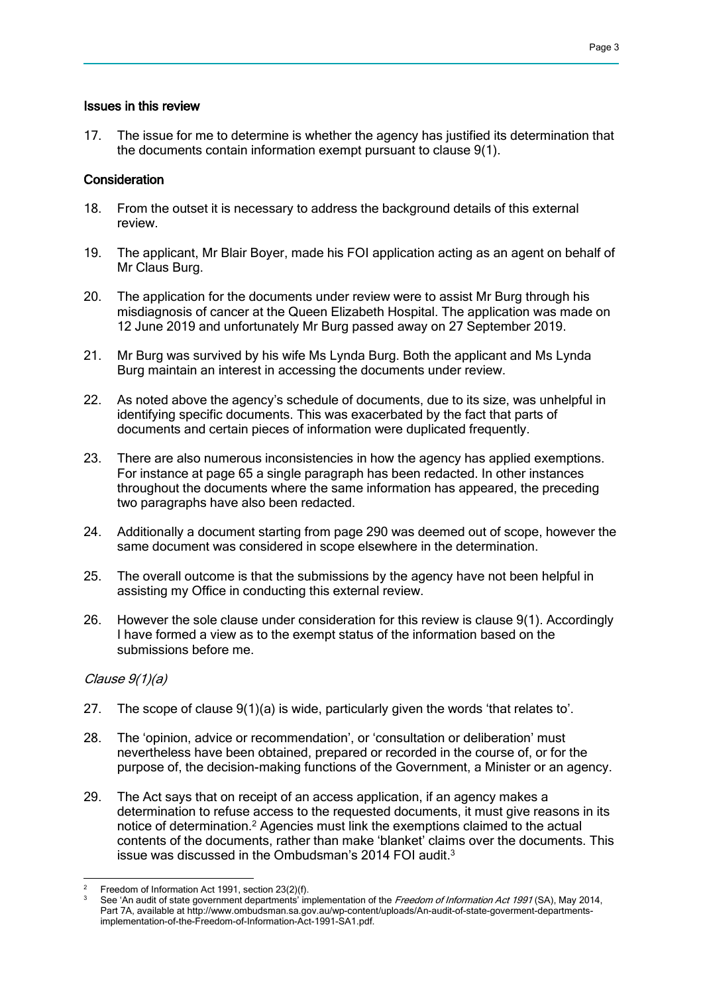#### Issues in this review

17. The issue for me to determine is whether the agency has justified its determination that the documents contain information exempt pursuant to clause 9(1).

### Consideration

- 18. From the outset it is necessary to address the background details of this external review.
- 19. The applicant, Mr Blair Boyer, made his FOI application acting as an agent on behalf of Mr Claus Burg.
- 20. The application for the documents under review were to assist Mr Burg through his misdiagnosis of cancer at the Queen Elizabeth Hospital. The application was made on 12 June 2019 and unfortunately Mr Burg passed away on 27 September 2019.
- 21. Mr Burg was survived by his wife Ms Lynda Burg. Both the applicant and Ms Lynda Burg maintain an interest in accessing the documents under review.
- 22. As noted above the agency's schedule of documents, due to its size, was unhelpful in identifying specific documents. This was exacerbated by the fact that parts of documents and certain pieces of information were duplicated frequently.
- 23. There are also numerous inconsistencies in how the agency has applied exemptions. For instance at page 65 a single paragraph has been redacted. In other instances throughout the documents where the same information has appeared, the preceding two paragraphs have also been redacted.
- 24. Additionally a document starting from page 290 was deemed out of scope, however the same document was considered in scope elsewhere in the determination.
- 25. The overall outcome is that the submissions by the agency have not been helpful in assisting my Office in conducting this external review.
- 26. However the sole clause under consideration for this review is clause 9(1). Accordingly I have formed a view as to the exempt status of the information based on the submissions before me.

### Clause 9(1)(a)

- 27. The scope of clause 9(1)(a) is wide, particularly given the words 'that relates to'.
- 28. The 'opinion, advice or recommendation', or 'consultation or deliberation' must nevertheless have been obtained, prepared or recorded in the course of, or for the purpose of, the decision-making functions of the Government, a Minister or an agency.
- 29. The Act says that on receipt of an access application, if an agency makes a determination to refuse access to the requested documents, it must give reasons in its notice of determination.2 Agencies must link the exemptions claimed to the actual contents of the documents, rather than make 'blanket' claims over the documents. This issue was discussed in the Ombudsman's 2014 FOI audit.3

<sup>-</sup>Freedom of Information Act 1991, section 23(2)(f).

See 'An audit of state government departments' implementation of the Freedom of Information Act 1991 (SA), May 2014, Part 7A, available at http://www.ombudsman.sa.gov.au/wp-content/uploads/An-audit-of-state-goverment-departmentsimplementation-of-the-Freedom-of-Information-Act-1991-SA1.pdf.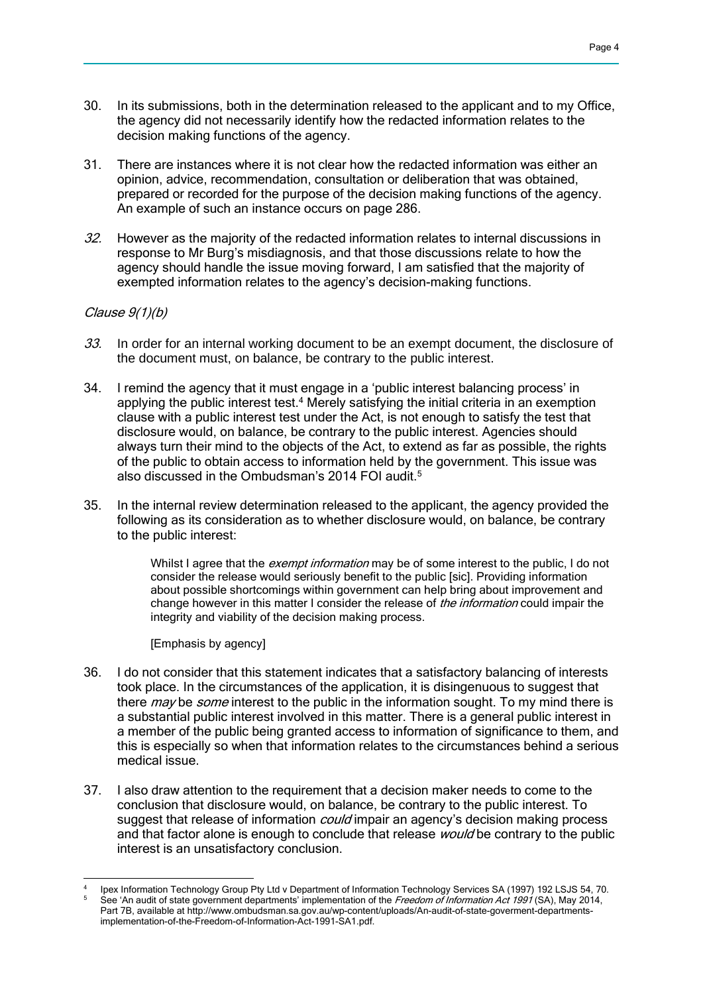- 30. In its submissions, both in the determination released to the applicant and to my Office, the agency did not necessarily identify how the redacted information relates to the decision making functions of the agency.
- 31. There are instances where it is not clear how the redacted information was either an opinion, advice, recommendation, consultation or deliberation that was obtained, prepared or recorded for the purpose of the decision making functions of the agency. An example of such an instance occurs on page 286.
- 32. However as the majority of the redacted information relates to internal discussions in response to Mr Burg's misdiagnosis, and that those discussions relate to how the agency should handle the issue moving forward, I am satisfied that the majority of exempted information relates to the agency's decision-making functions.

### Clause 9(1)(b)

- 33. In order for an internal working document to be an exempt document, the disclosure of the document must, on balance, be contrary to the public interest.
- 34. I remind the agency that it must engage in a 'public interest balancing process' in applying the public interest test.<sup>4</sup> Merely satisfying the initial criteria in an exemption clause with a public interest test under the Act, is not enough to satisfy the test that disclosure would, on balance, be contrary to the public interest. Agencies should always turn their mind to the objects of the Act, to extend as far as possible, the rights of the public to obtain access to information held by the government. This issue was also discussed in the Ombudsman's 2014 FOI audit.<sup>5</sup>
- 35. In the internal review determination released to the applicant, the agency provided the following as its consideration as to whether disclosure would, on balance, be contrary to the public interest:

Whilst I agree that the *exempt information* may be of some interest to the public. I do not consider the release would seriously benefit to the public [sic]. Providing information about possible shortcomings within government can help bring about improvement and change however in this matter I consider the release of the information could impair the integrity and viability of the decision making process.

[Emphasis by agency]

- 36. I do not consider that this statement indicates that a satisfactory balancing of interests took place. In the circumstances of the application, it is disingenuous to suggest that there *may* be *some* interest to the public in the information sought. To my mind there is a substantial public interest involved in this matter. There is a general public interest in a member of the public being granted access to information of significance to them, and this is especially so when that information relates to the circumstances behind a serious medical issue.
- 37. I also draw attention to the requirement that a decision maker needs to come to the conclusion that disclosure would, on balance, be contrary to the public interest. To suggest that release of information *could* impair an agency's decision making process and that factor alone is enough to conclude that release *would* be contrary to the public interest is an unsatisfactory conclusion.

<sup>-</sup>Ipex Information Technology Group Pty Ltd v Department of Information Technology Services SA (1997) 192 LSJS 54, 70.

See 'An audit of state government departments' implementation of the Freedom of Information Act 1991 (SA), May 2014, Part 7B, available at http://www.ombudsman.sa.gov.au/wp-content/uploads/An-audit-of-state-goverment-departmentsimplementation-of-the-Freedom-of-Information-Act-1991-SA1.pdf.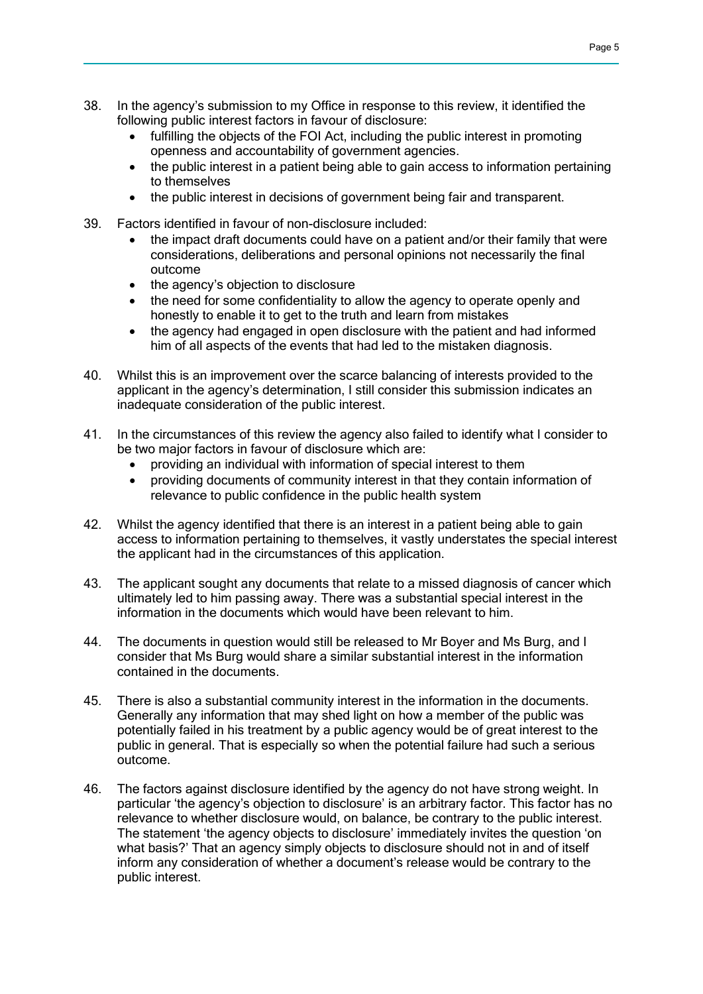- 38. In the agency's submission to my Office in response to this review, it identified the following public interest factors in favour of disclosure:
	- fulfilling the objects of the FOI Act, including the public interest in promoting openness and accountability of government agencies.
	- the public interest in a patient being able to gain access to information pertaining to themselves
	- the public interest in decisions of government being fair and transparent.
- 39. Factors identified in favour of non-disclosure included:
	- the impact draft documents could have on a patient and/or their family that were considerations, deliberations and personal opinions not necessarily the final outcome
	- the agency's objection to disclosure
	- the need for some confidentiality to allow the agency to operate openly and honestly to enable it to get to the truth and learn from mistakes
	- the agency had engaged in open disclosure with the patient and had informed him of all aspects of the events that had led to the mistaken diagnosis.
- 40. Whilst this is an improvement over the scarce balancing of interests provided to the applicant in the agency's determination, I still consider this submission indicates an inadequate consideration of the public interest.
- 41. In the circumstances of this review the agency also failed to identify what I consider to be two major factors in favour of disclosure which are:
	- providing an individual with information of special interest to them
	- providing documents of community interest in that they contain information of relevance to public confidence in the public health system
- 42. Whilst the agency identified that there is an interest in a patient being able to gain access to information pertaining to themselves, it vastly understates the special interest the applicant had in the circumstances of this application.
- 43. The applicant sought any documents that relate to a missed diagnosis of cancer which ultimately led to him passing away. There was a substantial special interest in the information in the documents which would have been relevant to him.
- 44. The documents in question would still be released to Mr Boyer and Ms Burg, and I consider that Ms Burg would share a similar substantial interest in the information contained in the documents.
- 45. There is also a substantial community interest in the information in the documents. Generally any information that may shed light on how a member of the public was potentially failed in his treatment by a public agency would be of great interest to the public in general. That is especially so when the potential failure had such a serious outcome.
- 46. The factors against disclosure identified by the agency do not have strong weight. In particular 'the agency's objection to disclosure' is an arbitrary factor. This factor has no relevance to whether disclosure would, on balance, be contrary to the public interest. The statement 'the agency objects to disclosure' immediately invites the question 'on what basis?' That an agency simply objects to disclosure should not in and of itself inform any consideration of whether a document's release would be contrary to the public interest.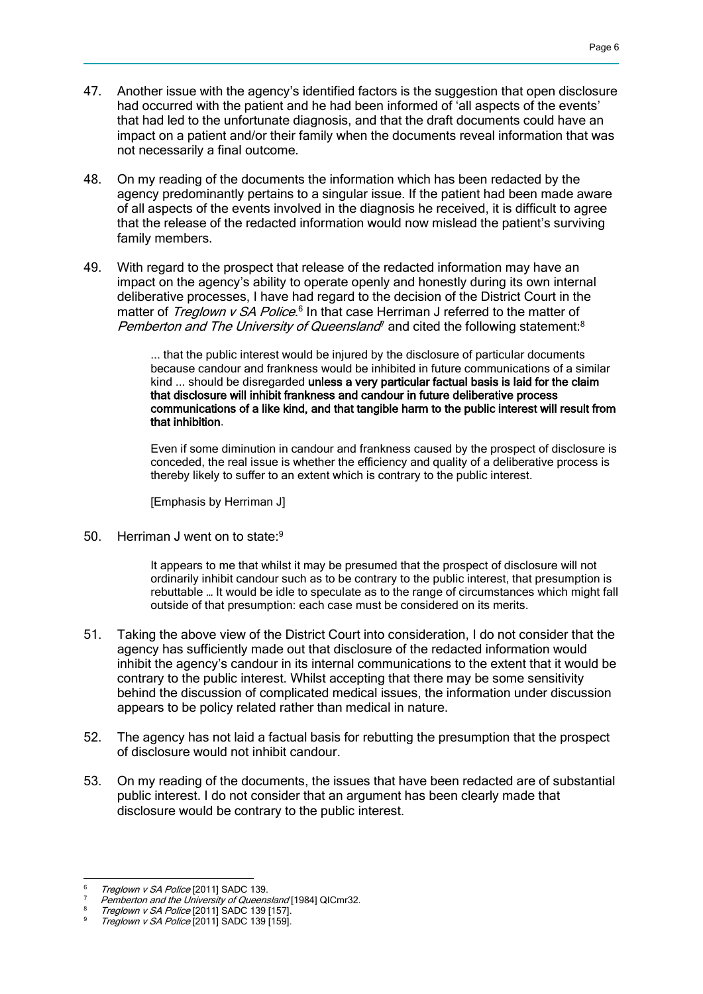- 47. Another issue with the agency's identified factors is the suggestion that open disclosure had occurred with the patient and he had been informed of 'all aspects of the events' that had led to the unfortunate diagnosis, and that the draft documents could have an impact on a patient and/or their family when the documents reveal information that was not necessarily a final outcome.
- 48. On my reading of the documents the information which has been redacted by the agency predominantly pertains to a singular issue. If the patient had been made aware of all aspects of the events involved in the diagnosis he received, it is difficult to agree that the release of the redacted information would now mislead the patient's surviving family members.
- 49. With regard to the prospect that release of the redacted information may have an impact on the agency's ability to operate openly and honestly during its own internal deliberative processes, I have had regard to the decision of the District Court in the matter of Treglown v SA Police.<sup>6</sup> In that case Herriman J referred to the matter of Pemberton and The University of Queensland<sup> $\eta$ </sup> and cited the following statement:<sup>8</sup>

... that the public interest would be injured by the disclosure of particular documents because candour and frankness would be inhibited in future communications of a similar kind ... should be disregarded unless a very particular factual basis is laid for the claim that disclosure will inhibit frankness and candour in future deliberative process communications of a like kind, and that tangible harm to the public interest will result from that inhibition.

Even if some diminution in candour and frankness caused by the prospect of disclosure is conceded, the real issue is whether the efficiency and quality of a deliberative process is thereby likely to suffer to an extent which is contrary to the public interest.

[Emphasis by Herriman J]

50. Herriman J went on to state:9

It appears to me that whilst it may be presumed that the prospect of disclosure will not ordinarily inhibit candour such as to be contrary to the public interest, that presumption is rebuttable … It would be idle to speculate as to the range of circumstances which might fall outside of that presumption: each case must be considered on its merits.

- 51. Taking the above view of the District Court into consideration, I do not consider that the agency has sufficiently made out that disclosure of the redacted information would inhibit the agency's candour in its internal communications to the extent that it would be contrary to the public interest. Whilst accepting that there may be some sensitivity behind the discussion of complicated medical issues, the information under discussion appears to be policy related rather than medical in nature.
- 52. The agency has not laid a factual basis for rebutting the presumption that the prospect of disclosure would not inhibit candour.
- 53. On my reading of the documents, the issues that have been redacted are of substantial public interest. I do not consider that an argument has been clearly made that disclosure would be contrary to the public interest.

<sup>-</sup>Treglown v SA Police [2011] SADC 139.

Pemberton and the University of Queensland [1984] QICmr32.

Treglown v SA Police [2011] SADC 139 [157].

Treglown v SA Police [2011] SADC 139 [159].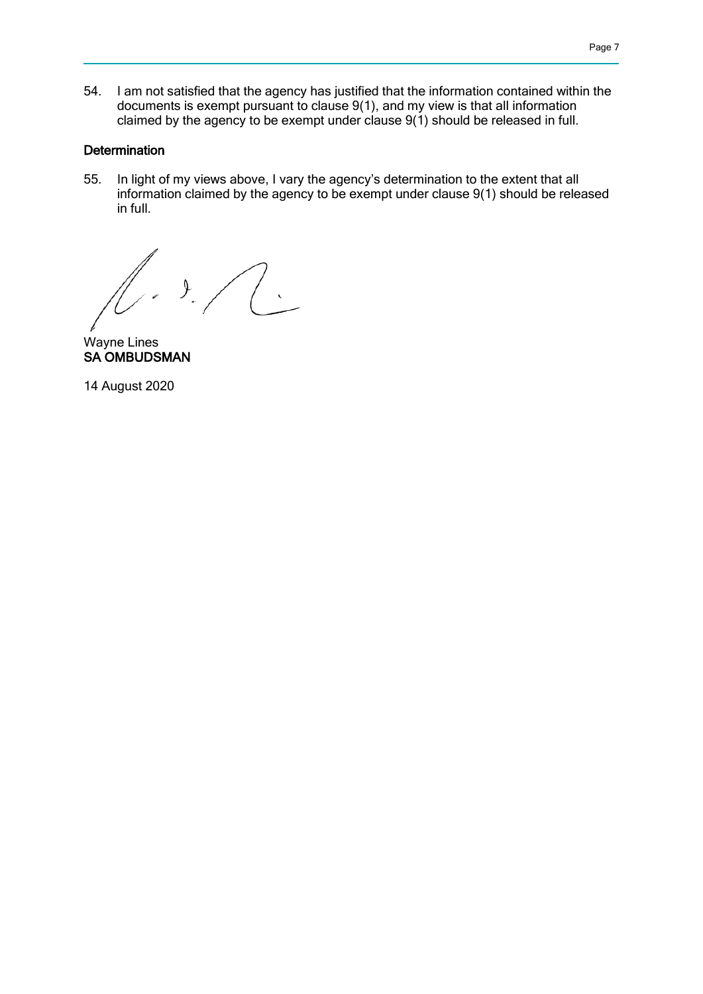54. I am not satisfied that the agency has justified that the information contained within the documents is exempt pursuant to clause 9(1), and my view is that all information claimed by the agency to be exempt under clause  $9(1)$  should be released in full.

### **Determination**

55. In light of my views above, I vary the agency's determination to the extent that all information claimed by the agency to be exempt under clause 9(1) should be released in full.

 $\frac{1}{2}$ 

Wayne Lines SA OMBUDSMAN

14 August 2020